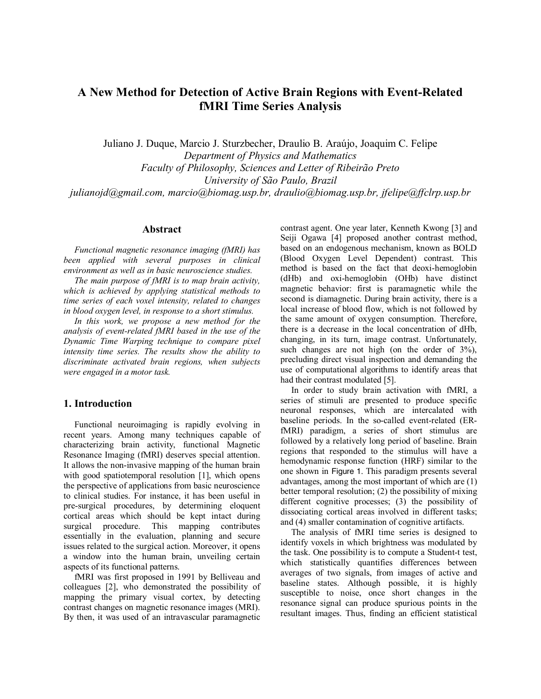# **A New Method for Detection of Active Brain Regions with Event-Related fMRI Time Series Analysis**

Juliano J. Duque, Marcio J. Sturzbecher, Draulio B. Araújo, Joaquim C. Felipe

*Department of Physics and Mathematics Faculty of Philosophy, Sciences and Letter of Ribeirão Preto University of São Paulo, Brazil julianojd@gmail.com, marcio@biomag.usp.br, draulio@biomag.usp.br, jfelipe@ffclrp.usp.br* 

# **Abstract**

*Functional magnetic resonance imaging (fMRI) has been applied with several purposes in clinical environment as well as in basic neuroscience studies.* 

*The main purpose of fMRI is to map brain activity, which is achieved by applying statistical methods to time series of each voxel intensity, related to changes in blood oxygen level, in response to a short stimulus.* 

*In this work, we propose a new method for the analysis of event-related fMRI based in the use of the Dynamic Time Warping technique to compare pixel intensity time series. The results show the ability to discriminate activated brain regions, when subjects were engaged in a motor task.* 

# **1. Introduction**

Functional neuroimaging is rapidly evolving in recent years. Among many techniques capable of characterizing brain activity, functional Magnetic Resonance Imaging (fMRI) deserves special attention. It allows the non-invasive mapping of the human brain with good spatiotemporal resolution [1], which opens the perspective of applications from basic neuroscience to clinical studies. For instance, it has been useful in pre-surgical procedures, by determining eloquent cortical areas which should be kept intact during surgical procedure. This mapping contributes essentially in the evaluation, planning and secure issues related to the surgical action. Moreover, it opens a window into the human brain, unveiling certain aspects of its functional patterns.

fMRI was first proposed in 1991 by Belliveau and colleagues [2], who demonstrated the possibility of mapping the primary visual cortex, by detecting contrast changes on magnetic resonance images (MRI). By then, it was used of an intravascular paramagnetic

contrast agent. One year later, Kenneth Kwong [3] and Seiji Ogawa [4] proposed another contrast method, based on an endogenous mechanism, known as BOLD (Blood Oxygen Level Dependent) contrast. This method is based on the fact that deoxi-hemoglobin (dHb) and oxi-hemoglobin (OHb) have distinct magnetic behavior: first is paramagnetic while the second is diamagnetic. During brain activity, there is a local increase of blood flow, which is not followed by the same amount of oxygen consumption. Therefore, there is a decrease in the local concentration of dHb, changing, in its turn, image contrast. Unfortunately, such changes are not high (on the order of  $3\%$ ), precluding direct visual inspection and demanding the use of computational algorithms to identify areas that had their contrast modulated [5].

In order to study brain activation with fMRI, a series of stimuli are presented to produce specific neuronal responses, which are intercalated with baseline periods. In the so-called event-related (ERfMRI) paradigm, a series of short stimulus are followed by a relatively long period of baseline. Brain regions that responded to the stimulus will have a hemodynamic response function (HRF) similar to the one shown in Figure 1. This paradigm presents several advantages, among the most important of which are (1) better temporal resolution; (2) the possibility of mixing different cognitive processes; (3) the possibility of dissociating cortical areas involved in different tasks; and (4) smaller contamination of cognitive artifacts.

The analysis of fMRI time series is designed to identify voxels in which brightness was modulated by the task. One possibility is to compute a Student-t test, which statistically quantifies differences between averages of two signals, from images of active and baseline states. Although possible, it is highly susceptible to noise, once short changes in the resonance signal can produce spurious points in the resultant images. Thus, finding an efficient statistical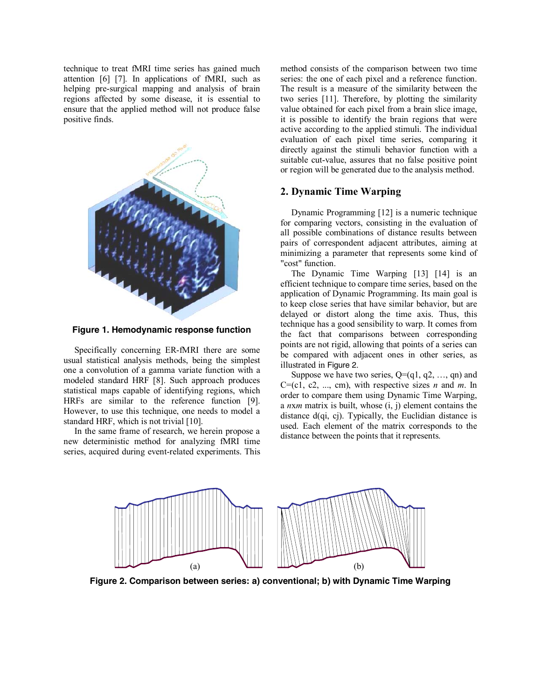technique to treat fMRI time series has gained much attention [6] [7]. In applications of fMRI, such as helping pre-surgical mapping and analysis of brain regions affected by some disease, it is essential to ensure that the applied method will not produce false positive finds.



**Figure 1. Hemodynamic response function** 

Specifically concerning ER-fMRI there are some usual statistical analysis methods, being the simplest one a convolution of a gamma variate function with a modeled standard HRF [8]. Such approach produces statistical maps capable of identifying regions, which HRFs are similar to the reference function [9]. However, to use this technique, one needs to model a standard HRF, which is not trivial [10].

In the same frame of research, we herein propose a new deterministic method for analyzing fMRI time series, acquired during event-related experiments. This method consists of the comparison between two time series: the one of each pixel and a reference function. The result is a measure of the similarity between the two series [11]. Therefore, by plotting the similarity value obtained for each pixel from a brain slice image, it is possible to identify the brain regions that were active according to the applied stimuli. The individual evaluation of each pixel time series, comparing it directly against the stimuli behavior function with a suitable cut-value, assures that no false positive point or region will be generated due to the analysis method.

# **2. Dynamic Time Warping**

Dynamic Programming [12] is a numeric technique for comparing vectors, consisting in the evaluation of all possible combinations of distance results between pairs of correspondent adjacent attributes, aiming at minimizing a parameter that represents some kind of "cost" function.

The Dynamic Time Warping [13] [14] is an efficient technique to compare time series, based on the application of Dynamic Programming. Its main goal is to keep close series that have similar behavior, but are delayed or distort along the time axis. Thus, this technique has a good sensibility to warp. It comes from the fact that comparisons between corresponding points are not rigid, allowing that points of a series can be compared with adjacent ones in other series, as illustrated in Figure 2.

Suppose we have two series,  $Q = (q_1, q_2, \ldots, q_n)$  and  $C=(c1, c2, ..., cm)$ , with respective sizes *n* and *m*. In order to compare them using Dynamic Time Warping, a *n*x*m* matrix is built, whose (i, j) element contains the distance d(qi, cj). Typically, the Euclidian distance is used. Each element of the matrix corresponds to the distance between the points that it represents.



**Figure 2. Comparison between series: a) conventional; b) with Dynamic Time Warping**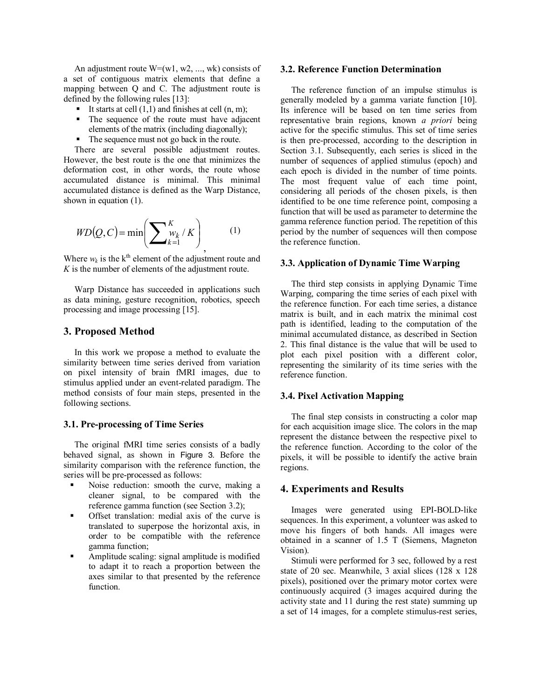An adjustment route  $W=(w1, w2, ..., wk)$  consists of a set of contiguous matrix elements that define a mapping between Q and C. The adjustment route is defined by the following rules [13]:

- It starts at cell  $(1,1)$  and finishes at cell  $(n, m)$ ;
- The sequence of the route must have adjacent elements of the matrix (including diagonally);
- The sequence must not go back in the route.

There are several possible adjustment routes. However, the best route is the one that minimizes the deformation cost, in other words, the route whose accumulated distance is minimal. This minimal accumulated distance is defined as the Warp Distance, shown in equation (1).

$$
WD(Q, C) = \min\left(\sum\nolimits_{k=1}^{K} v_k / K\right) \tag{1}
$$

Where  $w_k$  is the  $k^{\text{th}}$  element of the adjustment route and *K* is the number of elements of the adjustment route.

Warp Distance has succeeded in applications such as data mining, gesture recognition, robotics, speech processing and image processing [15].

### **3. Proposed Method**

In this work we propose a method to evaluate the similarity between time series derived from variation on pixel intensity of brain fMRI images, due to stimulus applied under an event-related paradigm. The method consists of four main steps, presented in the following sections.

#### **3.1. Pre-processing of Time Series**

The original fMRI time series consists of a badly behaved signal, as shown in Figure 3. Before the similarity comparison with the reference function, the series will be pre-processed as follows:

- Noise reduction: smooth the curve, making a cleaner signal, to be compared with the reference gamma function (see Section 3.2);
- Offset translation: medial axis of the curve is translated to superpose the horizontal axis, in order to be compatible with the reference gamma function;
- Amplitude scaling: signal amplitude is modified to adapt it to reach a proportion between the axes similar to that presented by the reference function.

#### **3.2. Reference Function Determination**

The reference function of an impulse stimulus is generally modeled by a gamma variate function [10]. Its inference will be based on ten time series from representative brain regions, known *a priori* being active for the specific stimulus. This set of time series is then pre-processed, according to the description in Section 3.1. Subsequently, each series is sliced in the number of sequences of applied stimulus (epoch) and each epoch is divided in the number of time points. The most frequent value of each time point, considering all periods of the chosen pixels, is then identified to be one time reference point, composing a function that will be used as parameter to determine the gamma reference function period. The repetition of this period by the number of sequences will then compose the reference function.

#### **3.3. Application of Dynamic Time Warping**

The third step consists in applying Dynamic Time Warping, comparing the time series of each pixel with the reference function. For each time series, a distance matrix is built, and in each matrix the minimal cost path is identified, leading to the computation of the minimal accumulated distance, as described in Section 2. This final distance is the value that will be used to plot each pixel position with a different color, representing the similarity of its time series with the reference function.

#### **3.4. Pixel Activation Mapping**

The final step consists in constructing a color map for each acquisition image slice. The colors in the map represent the distance between the respective pixel to the reference function. According to the color of the pixels, it will be possible to identify the active brain regions.

## **4. Experiments and Results**

Images were generated using EPI-BOLD-like sequences. In this experiment, a volunteer was asked to move his fingers of both hands. All images were obtained in a scanner of 1.5 T (Siemens, Magneton Vision).

Stimuli were performed for 3 sec, followed by a rest state of 20 sec. Meanwhile, 3 axial slices (128 x 128 pixels), positioned over the primary motor cortex were continuously acquired (3 images acquired during the activity state and 11 during the rest state) summing up a set of 14 images, for a complete stimulus-rest series,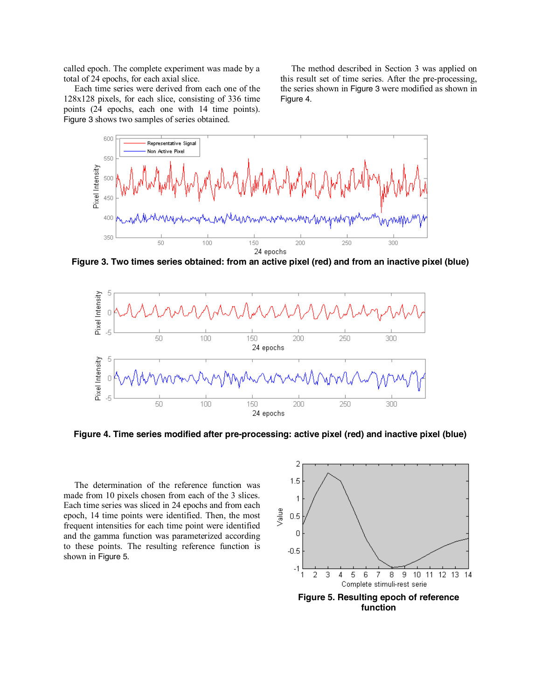called epoch. The complete experiment was made by a total of 24 epochs, for each axial slice.

Each time series were derived from each one of the 128x128 pixels, for each slice, consisting of 336 time points (24 epochs, each one with 14 time points). Figure 3 shows two samples of series obtained.

The method described in Section 3 was applied on this result set of time series. After the pre-processing, the series shown in Figure 3 were modified as shown in Figure 4.



**Figure 3. Two times series obtained: from an active pixel (red) and from an inactive pixel (blue)** 



**Figure 4. Time series modified after pre-processing: active pixel (red) and inactive pixel (blue)** 

The determination of the reference function was made from 10 pixels chosen from each of the 3 slices. Each time series was sliced in 24 epochs and from each epoch, 14 time points were identified. Then, the most frequent intensities for each time point were identified and the gamma function was parameterized according to these points. The resulting reference function is shown in Figure 5.

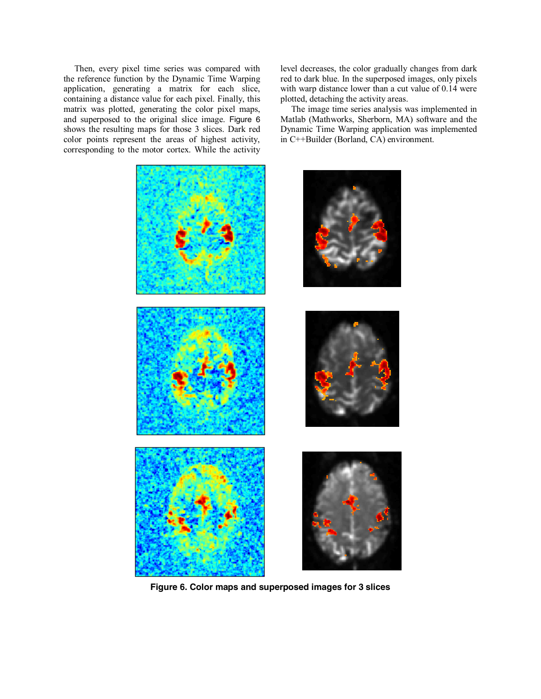Then, every pixel time series was compared with the reference function by the Dynamic Time Warping application, generating a matrix for each slice, containing a distance value for each pixel. Finally, this matrix was plotted, generating the color pixel maps, and superposed to the original slice image. Figure 6 shows the resulting maps for those 3 slices. Dark red color points represent the areas of highest activity, corresponding to the motor cortex. While the activity



**Figure 6. Color maps and superposed images for 3 slices** 

level decreases, the color gradually changes from dark red to dark blue. In the superposed images, only pixels with warp distance lower than a cut value of 0.14 were plotted, detaching the activity areas.

The image time series analysis was implemented in Matlab (Mathworks, Sherborn, MA) software and the Dynamic Time Warping application was implemented in C++Builder (Borland, CA) environment.